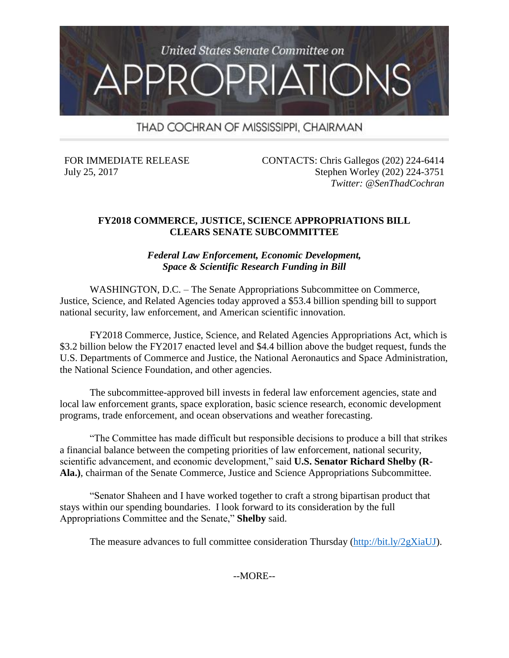

THAD COCHRAN OF MISSISSIPPI, CHAIRMAN

FOR IMMEDIATE RELEASE July 25, 2017

CONTACTS: Chris Gallegos (202) 224-6414 Stephen Worley (202) 224-3751 *Twitter: @SenThadCochran*

### **FY2018 COMMERCE, JUSTICE, SCIENCE APPROPRIATIONS BILL CLEARS SENATE SUBCOMMITTEE**

*Federal Law Enforcement, Economic Development, Space & Scientific Research Funding in Bill*

WASHINGTON, D.C. – The Senate Appropriations Subcommittee on Commerce, Justice, Science, and Related Agencies today approved a \$53.4 billion spending bill to support national security, law enforcement, and American scientific innovation.

FY2018 Commerce, Justice, Science, and Related Agencies Appropriations Act, which is \$3.2 billion below the FY2017 enacted level and \$4.4 billion above the budget request, funds the U.S. Departments of Commerce and Justice, the National Aeronautics and Space Administration, the National Science Foundation, and other agencies.

The subcommittee-approved bill invests in federal law enforcement agencies, state and local law enforcement grants, space exploration, basic science research, economic development programs, trade enforcement, and ocean observations and weather forecasting.

"The Committee has made difficult but responsible decisions to produce a bill that strikes a financial balance between the competing priorities of law enforcement, national security, scientific advancement, and economic development," said **U.S. Senator Richard Shelby (R-Ala.)**, chairman of the Senate Commerce, Justice and Science Appropriations Subcommittee.

"Senator Shaheen and I have worked together to craft a strong bipartisan product that stays within our spending boundaries. I look forward to its consideration by the full Appropriations Committee and the Senate," **Shelby** said.

The measure advances to full committee consideration Thursday [\(http://bit.ly/2gXiaUJ\)](http://bit.ly/2gXiaUJ).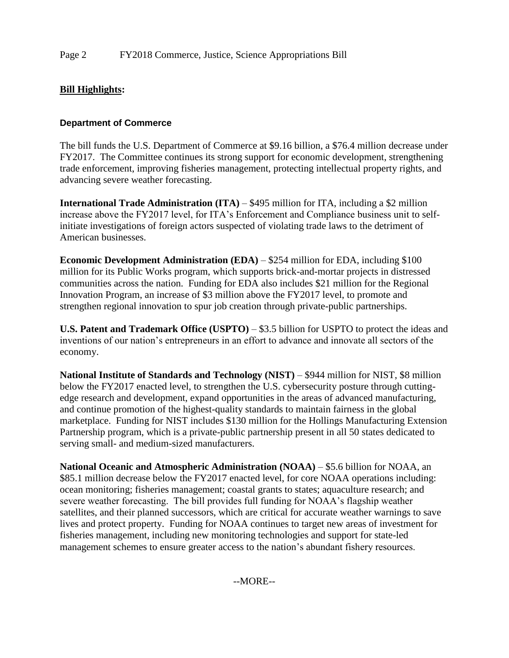# **Bill Highlights:**

### **Department of Commerce**

The bill funds the U.S. Department of Commerce at \$9.16 billion, a \$76.4 million decrease under FY2017. The Committee continues its strong support for economic development, strengthening trade enforcement, improving fisheries management, protecting intellectual property rights, and advancing severe weather forecasting.

**International Trade Administration (ITA)** – \$495 million for ITA, including a \$2 million increase above the FY2017 level, for ITA's Enforcement and Compliance business unit to selfinitiate investigations of foreign actors suspected of violating trade laws to the detriment of American businesses.

**Economic Development Administration (EDA)** – \$254 million for EDA, including \$100 million for its Public Works program, which supports brick-and-mortar projects in distressed communities across the nation. Funding for EDA also includes \$21 million for the Regional Innovation Program, an increase of \$3 million above the FY2017 level, to promote and strengthen regional innovation to spur job creation through private-public partnerships.

**U.S. Patent and Trademark Office (USPTO)** – \$3.5 billion for USPTO to protect the ideas and inventions of our nation's entrepreneurs in an effort to advance and innovate all sectors of the economy.

**National Institute of Standards and Technology (NIST)** – \$944 million for NIST, \$8 million below the FY2017 enacted level, to strengthen the U.S. cybersecurity posture through cuttingedge research and development, expand opportunities in the areas of advanced manufacturing, and continue promotion of the highest-quality standards to maintain fairness in the global marketplace. Funding for NIST includes \$130 million for the Hollings Manufacturing Extension Partnership program, which is a private-public partnership present in all 50 states dedicated to serving small- and medium-sized manufacturers.

**National Oceanic and Atmospheric Administration (NOAA)** – \$5.6 billion for NOAA, an \$85.1 million decrease below the FY2017 enacted level, for core NOAA operations including: ocean monitoring; fisheries management; coastal grants to states; aquaculture research; and severe weather forecasting. The bill provides full funding for NOAA's flagship weather satellites, and their planned successors, which are critical for accurate weather warnings to save lives and protect property. Funding for NOAA continues to target new areas of investment for fisheries management, including new monitoring technologies and support for state-led management schemes to ensure greater access to the nation's abundant fishery resources.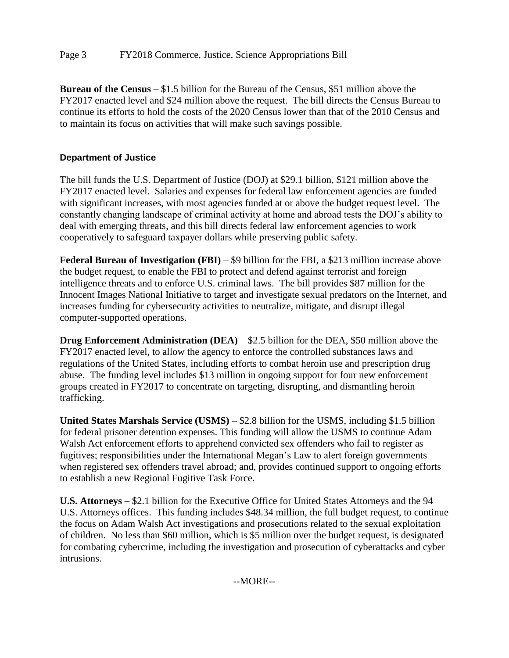## Page 3 FY2018 Commerce, Justice, Science Appropriations Bill

**Bureau of the Census** – \$1.5 billion for the Bureau of the Census, \$51 million above the FY2017 enacted level and \$24 million above the request. The bill directs the Census Bureau to continue its efforts to hold the costs of the 2020 Census lower than that of the 2010 Census and to maintain its focus on activities that will make such savings possible.

### **Department of Justice**

The bill funds the U.S. Department of Justice (DOJ) at \$29.1 billion, \$121 million above the FY2017 enacted level. Salaries and expenses for federal law enforcement agencies are funded with significant increases, with most agencies funded at or above the budget request level. The constantly changing landscape of criminal activity at home and abroad tests the DOJ's ability to deal with emerging threats, and this bill directs federal law enforcement agencies to work cooperatively to safeguard taxpayer dollars while preserving public safety.

**Federal Bureau of Investigation (FBI)** – \$9 billion for the FBI, a \$213 million increase above the budget request, to enable the FBI to protect and defend against terrorist and foreign intelligence threats and to enforce U.S. criminal laws. The bill provides \$87 million for the Innocent Images National Initiative to target and investigate sexual predators on the Internet, and increases funding for cybersecurity activities to neutralize, mitigate, and disrupt illegal computer-supported operations.

**Drug Enforcement Administration (DEA)** – \$2.5 billion for the DEA, \$50 million above the FY2017 enacted level, to allow the agency to enforce the controlled substances laws and regulations of the United States, including efforts to combat heroin use and prescription drug abuse. The funding level includes \$13 million in ongoing support for four new enforcement groups created in FY2017 to concentrate on targeting, disrupting, and dismantling heroin trafficking.

**United States Marshals Service (USMS)** – \$2.8 billion for the USMS, including \$1.5 billion for federal prisoner detention expenses. This funding will allow the USMS to continue Adam Walsh Act enforcement efforts to apprehend convicted sex offenders who fail to register as fugitives; responsibilities under the International Megan's Law to alert foreign governments when registered sex offenders travel abroad; and, provides continued support to ongoing efforts to establish a new Regional Fugitive Task Force.

**U.S. Attorneys** – \$2.1 billion for the Executive Office for United States Attorneys and the 94 U.S. Attorneys offices. This funding includes \$48.34 million, the full budget request, to continue the focus on Adam Walsh Act investigations and prosecutions related to the sexual exploitation of children. No less than \$60 million, which is \$5 million over the budget request, is designated for combating cybercrime, including the investigation and prosecution of cyberattacks and cyber intrusions.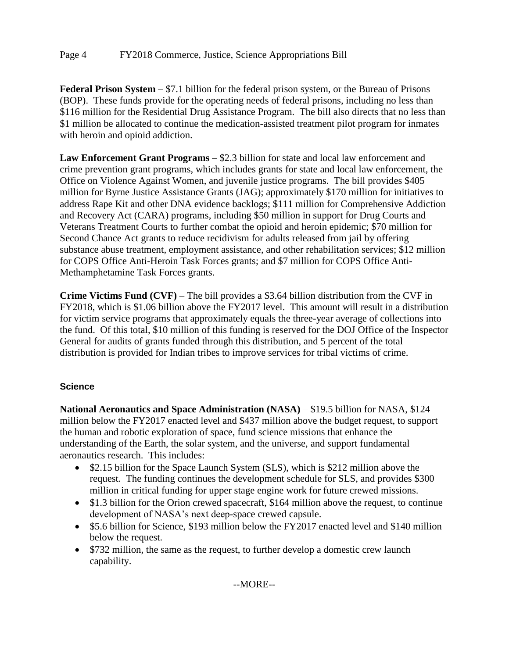**Federal Prison System** – \$7.1 billion for the federal prison system, or the Bureau of Prisons (BOP). These funds provide for the operating needs of federal prisons, including no less than \$116 million for the Residential Drug Assistance Program. The bill also directs that no less than \$1 million be allocated to continue the medication-assisted treatment pilot program for inmates with heroin and opioid addiction.

**Law Enforcement Grant Programs** – \$2.3 billion for state and local law enforcement and crime prevention grant programs, which includes grants for state and local law enforcement, the Office on Violence Against Women, and juvenile justice programs. The bill provides \$405 million for Byrne Justice Assistance Grants (JAG); approximately \$170 million for initiatives to address Rape Kit and other DNA evidence backlogs; \$111 million for Comprehensive Addiction and Recovery Act (CARA) programs, including \$50 million in support for Drug Courts and Veterans Treatment Courts to further combat the opioid and heroin epidemic; \$70 million for Second Chance Act grants to reduce recidivism for adults released from jail by offering substance abuse treatment, employment assistance, and other rehabilitation services; \$12 million for COPS Office Anti-Heroin Task Forces grants; and \$7 million for COPS Office Anti-Methamphetamine Task Forces grants.

**Crime Victims Fund (CVF)** – The bill provides a \$3.64 billion distribution from the CVF in FY2018, which is \$1.06 billion above the FY2017 level. This amount will result in a distribution for victim service programs that approximately equals the three-year average of collections into the fund. Of this total, \$10 million of this funding is reserved for the DOJ Office of the Inspector General for audits of grants funded through this distribution, and 5 percent of the total distribution is provided for Indian tribes to improve services for tribal victims of crime.

# **Science**

**National Aeronautics and Space Administration (NASA)** – \$19.5 billion for NASA, \$124 million below the FY2017 enacted level and \$437 million above the budget request, to support the human and robotic exploration of space, fund science missions that enhance the understanding of the Earth, the solar system, and the universe, and support fundamental aeronautics research. This includes:

- \$2.15 billion for the Space Launch System (SLS), which is \$212 million above the request. The funding continues the development schedule for SLS, and provides \$300 million in critical funding for upper stage engine work for future crewed missions.
- \$1.3 billion for the Orion crewed spacecraft, \$164 million above the request, to continue development of NASA's next deep-space crewed capsule.
- \$5.6 billion for Science, \$193 million below the FY2017 enacted level and \$140 million below the request.
- \$732 million, the same as the request, to further develop a domestic crew launch capability.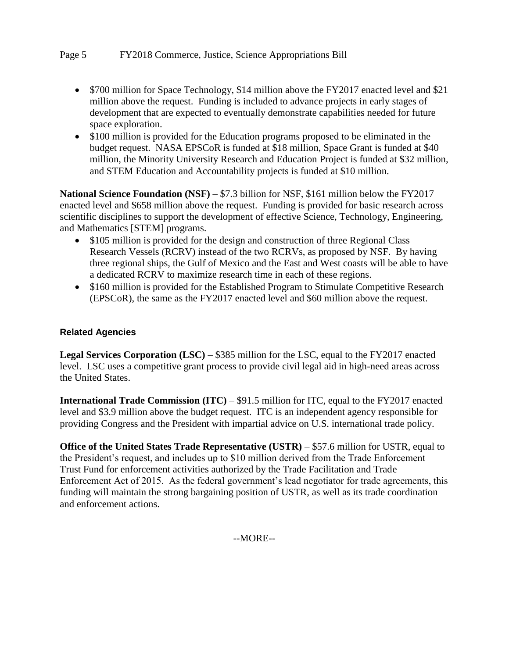- \$700 million for Space Technology, \$14 million above the FY2017 enacted level and \$21 million above the request. Funding is included to advance projects in early stages of development that are expected to eventually demonstrate capabilities needed for future space exploration.
- \$100 million is provided for the Education programs proposed to be eliminated in the budget request. NASA EPSCoR is funded at \$18 million, Space Grant is funded at \$40 million, the Minority University Research and Education Project is funded at \$32 million, and STEM Education and Accountability projects is funded at \$10 million.

**National Science Foundation (NSF)** – \$7.3 billion for NSF, \$161 million below the FY2017 enacted level and \$658 million above the request. Funding is provided for basic research across scientific disciplines to support the development of effective Science, Technology, Engineering, and Mathematics [STEM] programs.

- \$105 million is provided for the design and construction of three Regional Class Research Vessels (RCRV) instead of the two RCRVs, as proposed by NSF. By having three regional ships, the Gulf of Mexico and the East and West coasts will be able to have a dedicated RCRV to maximize research time in each of these regions.
- \$160 million is provided for the Established Program to Stimulate Competitive Research (EPSCoR), the same as the FY2017 enacted level and \$60 million above the request.

### **Related Agencies**

**Legal Services Corporation (LSC)** – \$385 million for the LSC, equal to the FY2017 enacted level. LSC uses a competitive grant process to provide civil legal aid in high-need areas across the United States.

**International Trade Commission (ITC)** – \$91.5 million for ITC, equal to the FY2017 enacted level and \$3.9 million above the budget request. ITC is an independent agency responsible for providing Congress and the President with impartial advice on U.S. international trade policy.

**Office of the United States Trade Representative (USTR)** – \$57.6 million for USTR, equal to the President's request, and includes up to \$10 million derived from the Trade Enforcement Trust Fund for enforcement activities authorized by the Trade Facilitation and Trade Enforcement Act of 2015. As the federal government's lead negotiator for trade agreements, this funding will maintain the strong bargaining position of USTR, as well as its trade coordination and enforcement actions.